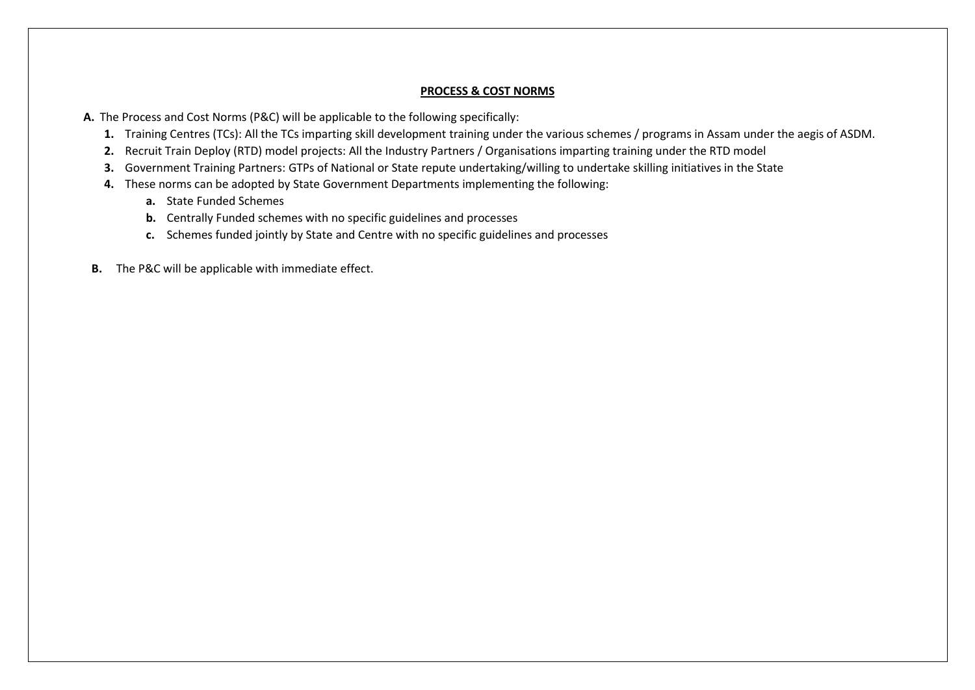## **PROCESS & COST NORMS**

- **A.** The Process and Cost Norms (P&C) will be applicable to the following specifically:
	- **1.** Training Centres (TCs): All the TCs imparting skill development training under the various schemes / programs in Assam under the aegis of ASDM.
	- **2.** Recruit Train Deploy (RTD) model projects: All the Industry Partners / Organisations imparting training under the RTD model
	- **3.** Government Training Partners: GTPs of National or State repute undertaking/willing to undertake skilling initiatives in the State
	- **4.** These norms can be adopted by State Government Departments implementing the following:
		- **a.** State Funded Schemes
		- **b.** Centrally Funded schemes with no specific guidelines and processes
		- **c.** Schemes funded jointly by State and Centre with no specific guidelines and processes
- **B.** The P&C will be applicable with immediate effect.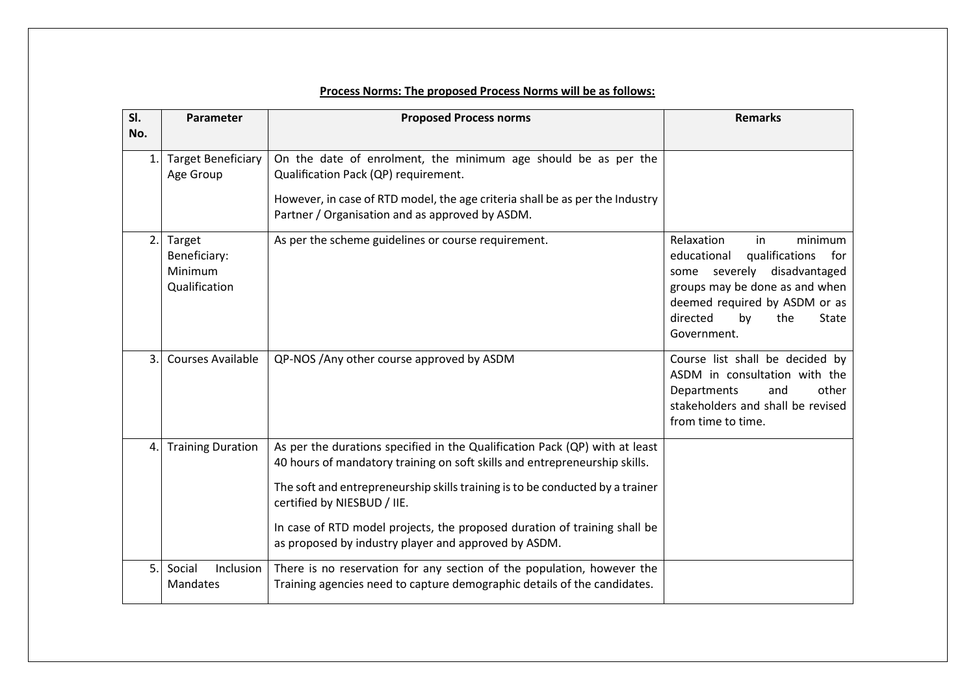| SI.            | Parameter                                          | <b>Proposed Process norms</b>                                                                                                                                                                                                                                                                                                                                                                                  | <b>Remarks</b>                                                                                                                                                                                                         |
|----------------|----------------------------------------------------|----------------------------------------------------------------------------------------------------------------------------------------------------------------------------------------------------------------------------------------------------------------------------------------------------------------------------------------------------------------------------------------------------------------|------------------------------------------------------------------------------------------------------------------------------------------------------------------------------------------------------------------------|
| No.            |                                                    |                                                                                                                                                                                                                                                                                                                                                                                                                |                                                                                                                                                                                                                        |
| $\mathbf{1}$ . | <b>Target Beneficiary</b><br>Age Group             | On the date of enrolment, the minimum age should be as per the<br>Qualification Pack (QP) requirement.<br>However, in case of RTD model, the age criteria shall be as per the Industry<br>Partner / Organisation and as approved by ASDM.                                                                                                                                                                      |                                                                                                                                                                                                                        |
| 2.             | Target<br>Beneficiary:<br>Minimum<br>Qualification | As per the scheme guidelines or course requirement.                                                                                                                                                                                                                                                                                                                                                            | Relaxation<br>minimum<br>in<br>qualifications<br>educational<br>for<br>some severely disadvantaged<br>groups may be done as and when<br>deemed required by ASDM or as<br>directed<br>by<br>the<br>State<br>Government. |
| 3.             | <b>Courses Available</b>                           | QP-NOS / Any other course approved by ASDM                                                                                                                                                                                                                                                                                                                                                                     | Course list shall be decided by<br>ASDM in consultation with the<br>Departments<br>other<br>and<br>stakeholders and shall be revised<br>from time to time.                                                             |
| 4.             | <b>Training Duration</b>                           | As per the durations specified in the Qualification Pack (QP) with at least<br>40 hours of mandatory training on soft skills and entrepreneurship skills.<br>The soft and entrepreneurship skills training is to be conducted by a trainer<br>certified by NIESBUD / IIE.<br>In case of RTD model projects, the proposed duration of training shall be<br>as proposed by industry player and approved by ASDM. |                                                                                                                                                                                                                        |
| 5.             | Social<br>Inclusion<br>Mandates                    | There is no reservation for any section of the population, however the<br>Training agencies need to capture demographic details of the candidates.                                                                                                                                                                                                                                                             |                                                                                                                                                                                                                        |

## **Process Norms: The proposed Process Norms will be as follows:**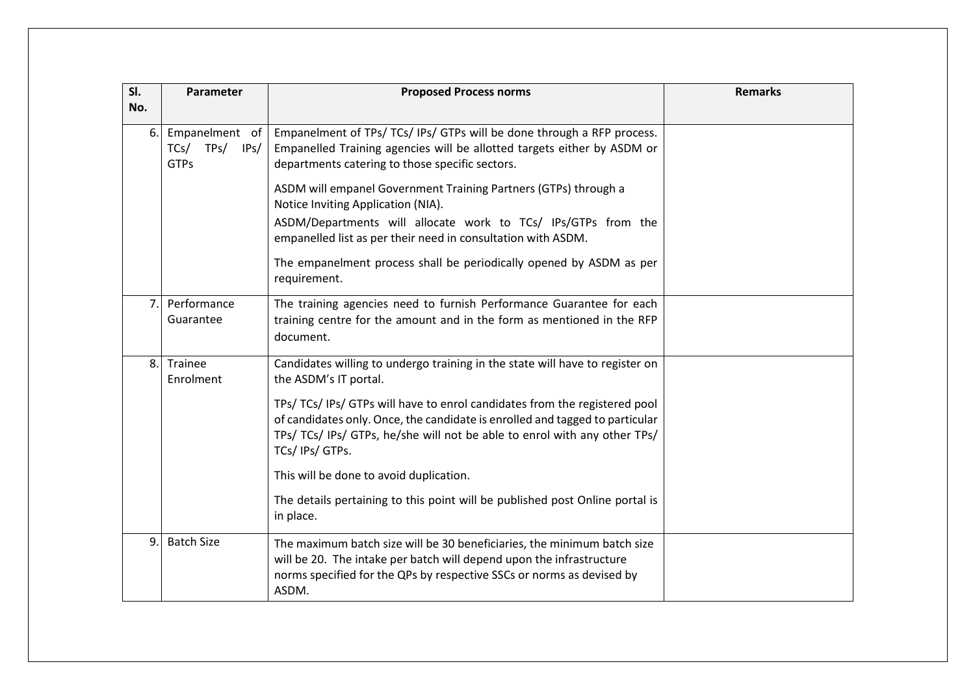| SI. | Parameter                                         | <b>Proposed Process norms</b>                                                                                                                                                                                                                            | <b>Remarks</b> |
|-----|---------------------------------------------------|----------------------------------------------------------------------------------------------------------------------------------------------------------------------------------------------------------------------------------------------------------|----------------|
| No. |                                                   |                                                                                                                                                                                                                                                          |                |
| 6.  | Empanelment of<br>TCs/TPs/<br>IPs/<br><b>GTPs</b> | Empanelment of TPs/ TCs/ IPs/ GTPs will be done through a RFP process.<br>Empanelled Training agencies will be allotted targets either by ASDM or<br>departments catering to those specific sectors.                                                     |                |
|     |                                                   | ASDM will empanel Government Training Partners (GTPs) through a<br>Notice Inviting Application (NIA).                                                                                                                                                    |                |
|     |                                                   | ASDM/Departments will allocate work to TCs/ IPs/GTPs from the<br>empanelled list as per their need in consultation with ASDM.                                                                                                                            |                |
|     |                                                   | The empanelment process shall be periodically opened by ASDM as per<br>requirement.                                                                                                                                                                      |                |
| 7.  | Performance<br>Guarantee                          | The training agencies need to furnish Performance Guarantee for each<br>training centre for the amount and in the form as mentioned in the RFP<br>document.                                                                                              |                |
| 8.  | Trainee<br>Enrolment                              | Candidates willing to undergo training in the state will have to register on<br>the ASDM's IT portal.                                                                                                                                                    |                |
|     |                                                   | TPs/ TCs/ IPs/ GTPs will have to enrol candidates from the registered pool<br>of candidates only. Once, the candidate is enrolled and tagged to particular<br>TPs/ TCs/ IPs/ GTPs, he/she will not be able to enrol with any other TPs/<br>TCs/IPs/GTPs. |                |
|     |                                                   | This will be done to avoid duplication.                                                                                                                                                                                                                  |                |
|     |                                                   | The details pertaining to this point will be published post Online portal is<br>in place.                                                                                                                                                                |                |
| 9.  | <b>Batch Size</b>                                 | The maximum batch size will be 30 beneficiaries, the minimum batch size<br>will be 20. The intake per batch will depend upon the infrastructure<br>norms specified for the QPs by respective SSCs or norms as devised by<br>ASDM.                        |                |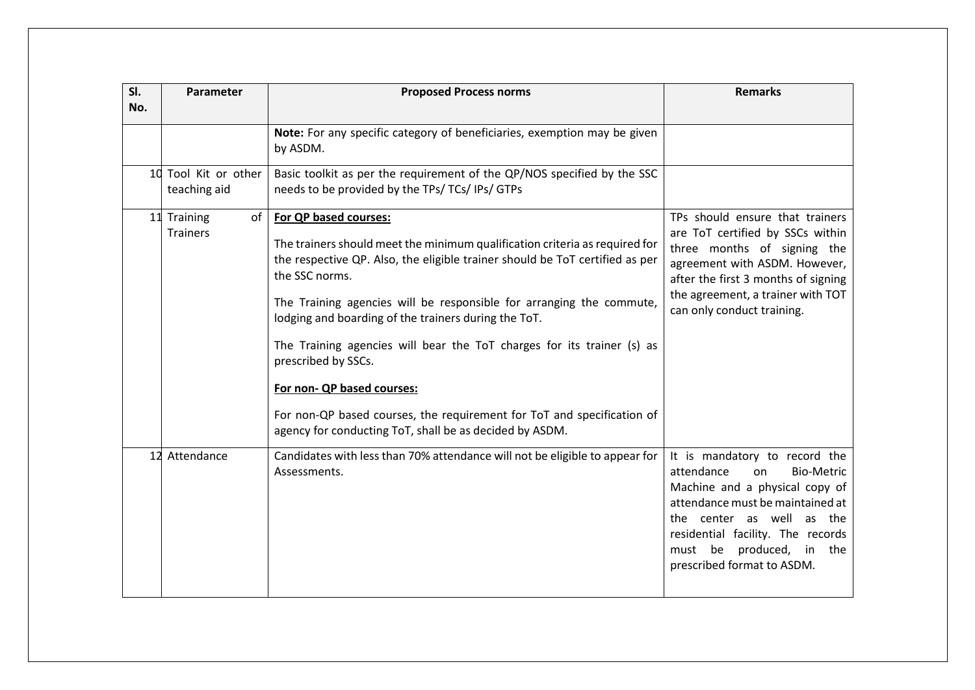| SI.<br>No. | Parameter                            | <b>Proposed Process norms</b>                                                                                                                                                                                                                                                                                                                                                                                                                                                                                                                                                                              | <b>Remarks</b>                                                                                                                                                                                                                                                              |
|------------|--------------------------------------|------------------------------------------------------------------------------------------------------------------------------------------------------------------------------------------------------------------------------------------------------------------------------------------------------------------------------------------------------------------------------------------------------------------------------------------------------------------------------------------------------------------------------------------------------------------------------------------------------------|-----------------------------------------------------------------------------------------------------------------------------------------------------------------------------------------------------------------------------------------------------------------------------|
|            |                                      | Note: For any specific category of beneficiaries, exemption may be given<br>by ASDM.                                                                                                                                                                                                                                                                                                                                                                                                                                                                                                                       |                                                                                                                                                                                                                                                                             |
|            | 10 Tool Kit or other<br>teaching aid | Basic toolkit as per the requirement of the QP/NOS specified by the SSC<br>needs to be provided by the TPs/ TCs/ IPs/ GTPs                                                                                                                                                                                                                                                                                                                                                                                                                                                                                 |                                                                                                                                                                                                                                                                             |
|            | of<br>11 Training<br><b>Trainers</b> | For QP based courses:<br>The trainers should meet the minimum qualification criteria as required for<br>the respective QP. Also, the eligible trainer should be ToT certified as per<br>the SSC norms.<br>The Training agencies will be responsible for arranging the commute,<br>lodging and boarding of the trainers during the ToT.<br>The Training agencies will bear the ToT charges for its trainer (s) as<br>prescribed by SSCs.<br>For non- QP based courses:<br>For non-QP based courses, the requirement for ToT and specification of<br>agency for conducting ToT, shall be as decided by ASDM. | TPs should ensure that trainers<br>are ToT certified by SSCs within<br>three months of signing the<br>agreement with ASDM. However,<br>after the first 3 months of signing<br>the agreement, a trainer with TOT<br>can only conduct training.                               |
| 12         | Attendance                           | Candidates with less than 70% attendance will not be eligible to appear for<br>Assessments.                                                                                                                                                                                                                                                                                                                                                                                                                                                                                                                | It is mandatory to record the<br>attendance<br><b>Bio-Metric</b><br>on<br>Machine and a physical copy of<br>attendance must be maintained at<br>the center as well as the<br>residential facility. The records<br>must be produced, in<br>the<br>prescribed format to ASDM. |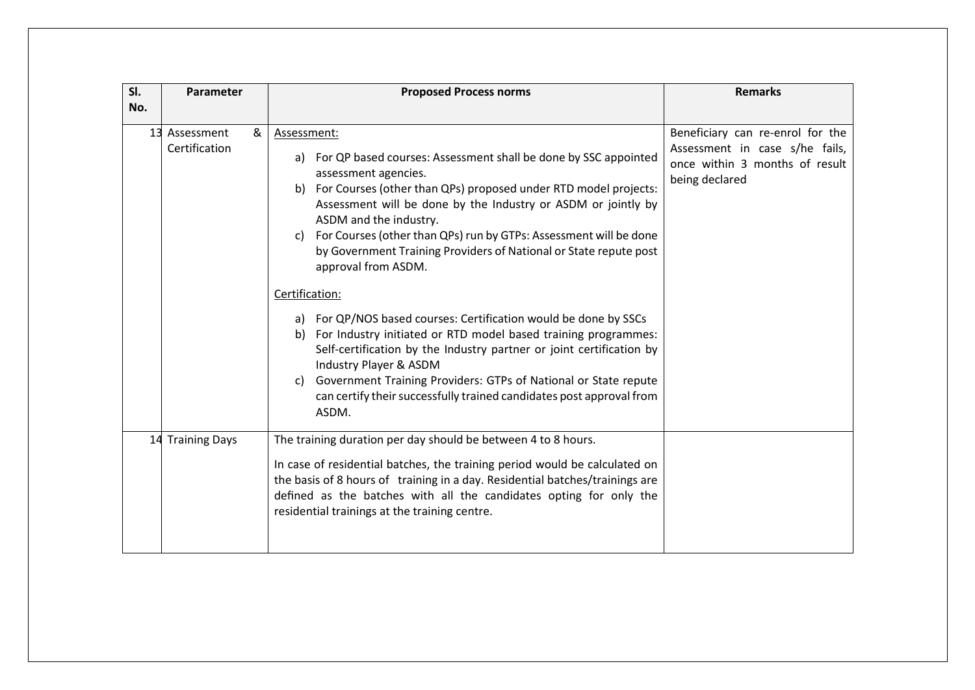| SI. | Parameter                           | <b>Proposed Process norms</b>                                                                                                                                                                                                                                                                                                                                                                                                                                                                                                                                                                                                                                                                                                                                                                                                                                                        | <b>Remarks</b>                                                                                                         |
|-----|-------------------------------------|--------------------------------------------------------------------------------------------------------------------------------------------------------------------------------------------------------------------------------------------------------------------------------------------------------------------------------------------------------------------------------------------------------------------------------------------------------------------------------------------------------------------------------------------------------------------------------------------------------------------------------------------------------------------------------------------------------------------------------------------------------------------------------------------------------------------------------------------------------------------------------------|------------------------------------------------------------------------------------------------------------------------|
| No. |                                     |                                                                                                                                                                                                                                                                                                                                                                                                                                                                                                                                                                                                                                                                                                                                                                                                                                                                                      |                                                                                                                        |
|     | 13 Assessment<br>&<br>Certification | Assessment:<br>For QP based courses: Assessment shall be done by SSC appointed<br>a)<br>assessment agencies.<br>For Courses (other than QPs) proposed under RTD model projects:<br>b١<br>Assessment will be done by the Industry or ASDM or jointly by<br>ASDM and the industry.<br>For Courses (other than QPs) run by GTPs: Assessment will be done<br>C)<br>by Government Training Providers of National or State repute post<br>approval from ASDM.<br>Certification:<br>For QP/NOS based courses: Certification would be done by SSCs<br>a)<br>For Industry initiated or RTD model based training programmes:<br>b)<br>Self-certification by the Industry partner or joint certification by<br>Industry Player & ASDM<br>Government Training Providers: GTPs of National or State repute<br>C)<br>can certify their successfully trained candidates post approval from<br>ASDM. | Beneficiary can re-enrol for the<br>Assessment in case s/he fails,<br>once within 3 months of result<br>being declared |
|     | 14 Training Days                    | The training duration per day should be between 4 to 8 hours.<br>In case of residential batches, the training period would be calculated on<br>the basis of 8 hours of training in a day. Residential batches/trainings are<br>defined as the batches with all the candidates opting for only the<br>residential trainings at the training centre.                                                                                                                                                                                                                                                                                                                                                                                                                                                                                                                                   |                                                                                                                        |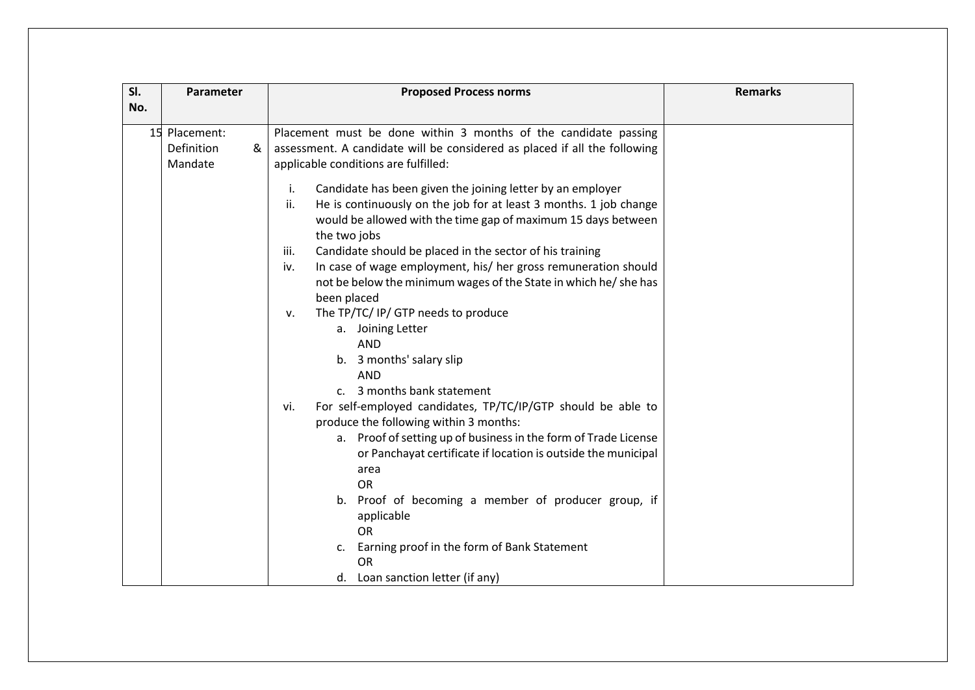| SI. | Parameter                                   | <b>Proposed Process norms</b>                                                                                                                                                                                                                                                                                                                                                                                                                                                                                                                                                                                                                                                                                                                                     | <b>Remarks</b> |
|-----|---------------------------------------------|-------------------------------------------------------------------------------------------------------------------------------------------------------------------------------------------------------------------------------------------------------------------------------------------------------------------------------------------------------------------------------------------------------------------------------------------------------------------------------------------------------------------------------------------------------------------------------------------------------------------------------------------------------------------------------------------------------------------------------------------------------------------|----------------|
| No. |                                             |                                                                                                                                                                                                                                                                                                                                                                                                                                                                                                                                                                                                                                                                                                                                                                   |                |
|     | 15 Placement:<br>Definition<br>&<br>Mandate | Placement must be done within 3 months of the candidate passing<br>assessment. A candidate will be considered as placed if all the following<br>applicable conditions are fulfilled:<br>Candidate has been given the joining letter by an employer<br>i.<br>ii.<br>He is continuously on the job for at least 3 months. 1 job change<br>would be allowed with the time gap of maximum 15 days between<br>the two jobs<br>Candidate should be placed in the sector of his training<br>iii.<br>In case of wage employment, his/ her gross remuneration should<br>iv.<br>not be below the minimum wages of the State in which he/ she has<br>been placed<br>The TP/TC/ IP/ GTP needs to produce<br>v.<br>a. Joining Letter<br><b>AND</b><br>b. 3 months' salary slip |                |
|     |                                             | <b>AND</b><br>c. 3 months bank statement<br>For self-employed candidates, TP/TC/IP/GTP should be able to<br>vi.<br>produce the following within 3 months:<br>a. Proof of setting up of business in the form of Trade License<br>or Panchayat certificate if location is outside the municipal<br>area<br><b>OR</b><br>b. Proof of becoming a member of producer group, if<br>applicable<br><b>OR</b><br>Earning proof in the form of Bank Statement<br>c.<br><b>OR</b><br>d. Loan sanction letter (if any)                                                                                                                                                                                                                                                        |                |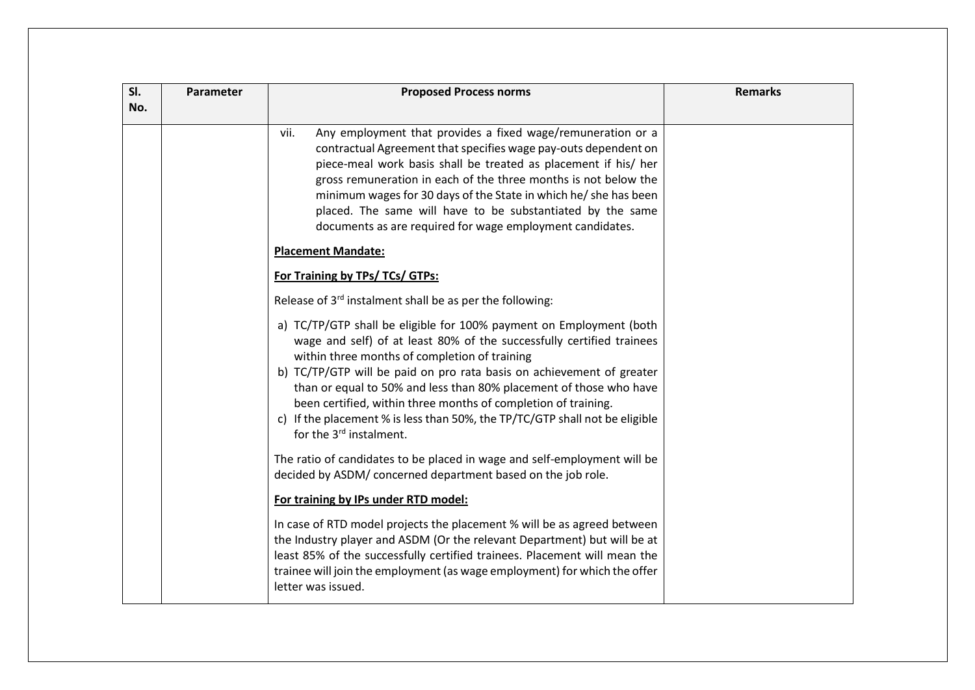| SI. | Parameter | <b>Proposed Process norms</b>                                                                                                                                                                                                                                                                                                                                                                                                                                                                                                        | <b>Remarks</b> |
|-----|-----------|--------------------------------------------------------------------------------------------------------------------------------------------------------------------------------------------------------------------------------------------------------------------------------------------------------------------------------------------------------------------------------------------------------------------------------------------------------------------------------------------------------------------------------------|----------------|
| No. |           |                                                                                                                                                                                                                                                                                                                                                                                                                                                                                                                                      |                |
|     |           | Any employment that provides a fixed wage/remuneration or a<br>vii.<br>contractual Agreement that specifies wage pay-outs dependent on<br>piece-meal work basis shall be treated as placement if his/ her<br>gross remuneration in each of the three months is not below the<br>minimum wages for 30 days of the State in which he/ she has been<br>placed. The same will have to be substantiated by the same<br>documents as are required for wage employment candidates.<br><b>Placement Mandate:</b>                             |                |
|     |           | For Training by TPs/ TCs/ GTPs:                                                                                                                                                                                                                                                                                                                                                                                                                                                                                                      |                |
|     |           |                                                                                                                                                                                                                                                                                                                                                                                                                                                                                                                                      |                |
|     |           | Release of 3rd instalment shall be as per the following:                                                                                                                                                                                                                                                                                                                                                                                                                                                                             |                |
|     |           | a) TC/TP/GTP shall be eligible for 100% payment on Employment (both<br>wage and self) of at least 80% of the successfully certified trainees<br>within three months of completion of training<br>b) TC/TP/GTP will be paid on pro rata basis on achievement of greater<br>than or equal to 50% and less than 80% placement of those who have<br>been certified, within three months of completion of training.<br>c) If the placement % is less than 50%, the TP/TC/GTP shall not be eligible<br>for the 3 <sup>rd</sup> instalment. |                |
|     |           | The ratio of candidates to be placed in wage and self-employment will be<br>decided by ASDM/ concerned department based on the job role.                                                                                                                                                                                                                                                                                                                                                                                             |                |
|     |           | For training by IPs under RTD model:                                                                                                                                                                                                                                                                                                                                                                                                                                                                                                 |                |
|     |           | In case of RTD model projects the placement % will be as agreed between<br>the Industry player and ASDM (Or the relevant Department) but will be at<br>least 85% of the successfully certified trainees. Placement will mean the<br>trainee will join the employment (as wage employment) for which the offer<br>letter was issued.                                                                                                                                                                                                  |                |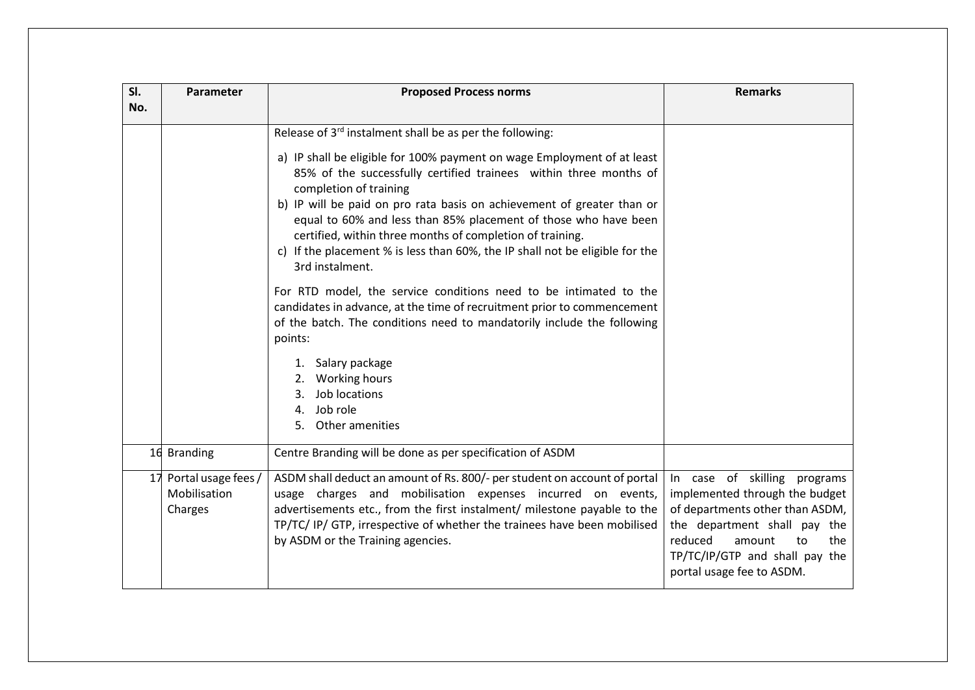| SI. | Parameter                                      | <b>Proposed Process norms</b>                                                                                                                                                                                                                                                                                                                                                                                                                                                       | <b>Remarks</b>                                                                                                                                                                                                                     |
|-----|------------------------------------------------|-------------------------------------------------------------------------------------------------------------------------------------------------------------------------------------------------------------------------------------------------------------------------------------------------------------------------------------------------------------------------------------------------------------------------------------------------------------------------------------|------------------------------------------------------------------------------------------------------------------------------------------------------------------------------------------------------------------------------------|
| No. |                                                |                                                                                                                                                                                                                                                                                                                                                                                                                                                                                     |                                                                                                                                                                                                                                    |
|     |                                                | Release of 3rd instalment shall be as per the following:                                                                                                                                                                                                                                                                                                                                                                                                                            |                                                                                                                                                                                                                                    |
|     |                                                | a) IP shall be eligible for 100% payment on wage Employment of at least<br>85% of the successfully certified trainees within three months of<br>completion of training<br>b) IP will be paid on pro rata basis on achievement of greater than or<br>equal to 60% and less than 85% placement of those who have been<br>certified, within three months of completion of training.<br>c) If the placement % is less than 60%, the IP shall not be eligible for the<br>3rd instalment. |                                                                                                                                                                                                                                    |
|     |                                                | For RTD model, the service conditions need to be intimated to the<br>candidates in advance, at the time of recruitment prior to commencement<br>of the batch. The conditions need to mandatorily include the following<br>points:                                                                                                                                                                                                                                                   |                                                                                                                                                                                                                                    |
|     |                                                | 1. Salary package<br>2. Working hours<br>Job locations<br>3.<br>Job role<br>4.<br>5. Other amenities                                                                                                                                                                                                                                                                                                                                                                                |                                                                                                                                                                                                                                    |
|     | 16 Branding                                    | Centre Branding will be done as per specification of ASDM                                                                                                                                                                                                                                                                                                                                                                                                                           |                                                                                                                                                                                                                                    |
| 17  | Portal usage fees /<br>Mobilisation<br>Charges | ASDM shall deduct an amount of Rs. 800/- per student on account of portal<br>usage charges and mobilisation expenses incurred on events,<br>advertisements etc., from the first instalment/ milestone payable to the<br>TP/TC/ IP/ GTP, irrespective of whether the trainees have been mobilised<br>by ASDM or the Training agencies.                                                                                                                                               | In case of skilling programs<br>implemented through the budget<br>of departments other than ASDM,<br>the department shall pay the<br>reduced<br>the<br>amount<br>to<br>TP/TC/IP/GTP and shall pay the<br>portal usage fee to ASDM. |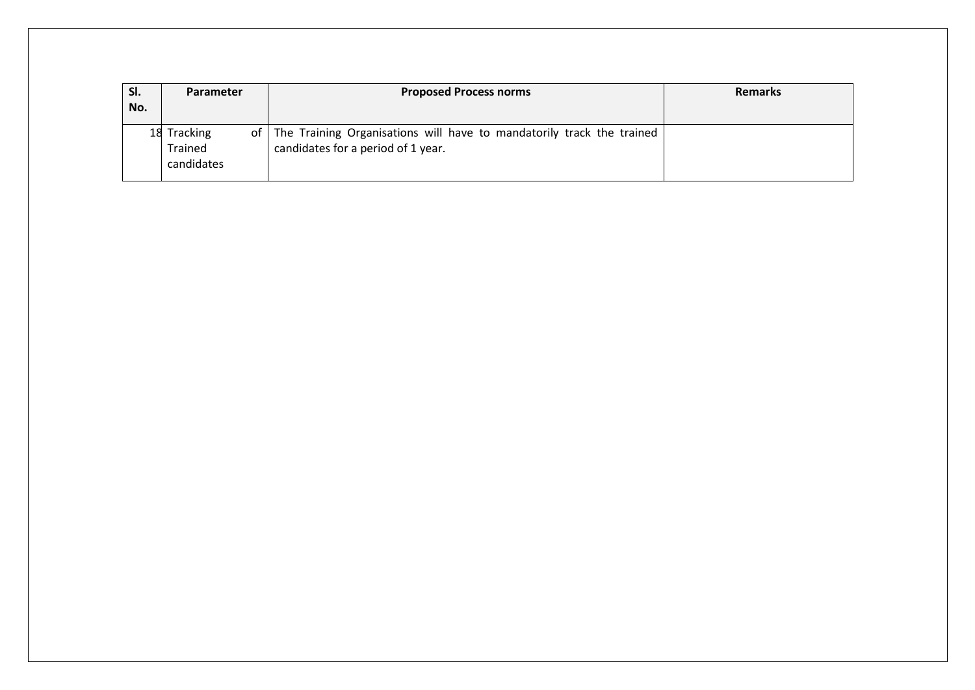| SI. | <b>Parameter</b>                     | <b>Proposed Process norms</b>                                                                                    | <b>Remarks</b> |
|-----|--------------------------------------|------------------------------------------------------------------------------------------------------------------|----------------|
| No. |                                      |                                                                                                                  |                |
|     | 18 Tracking<br>Trained<br>candidates | of   The Training Organisations will have to mandatorily track the trained<br>candidates for a period of 1 year. |                |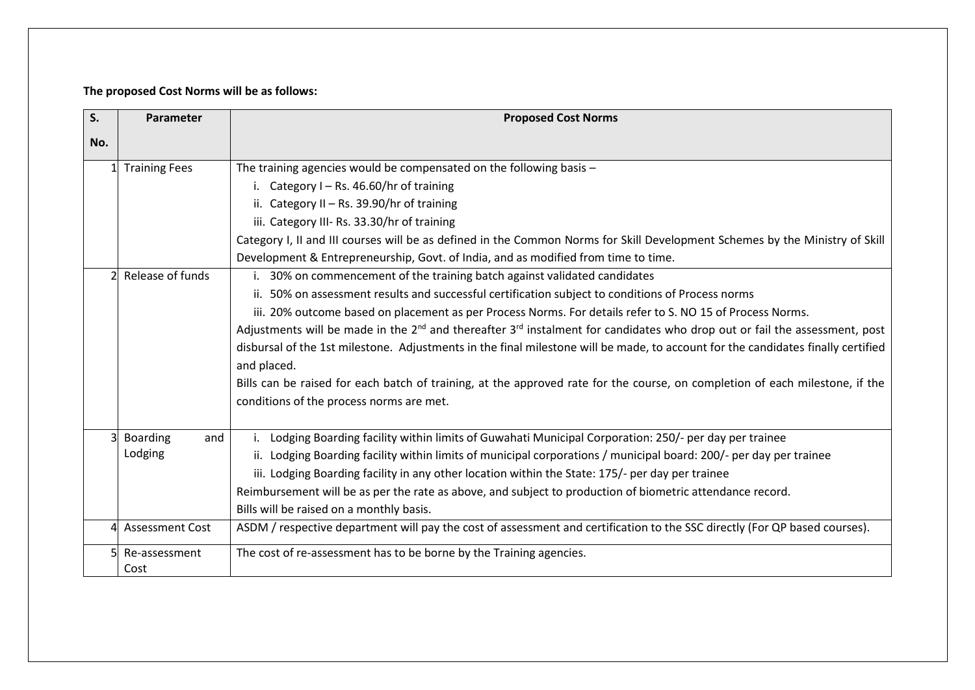## **The proposed Cost Norms will be as follows:**

| S.  | Parameter              | <b>Proposed Cost Norms</b>                                                                                                                                               |
|-----|------------------------|--------------------------------------------------------------------------------------------------------------------------------------------------------------------------|
| No. |                        |                                                                                                                                                                          |
|     | <b>Training Fees</b>   | The training agencies would be compensated on the following basis $-$                                                                                                    |
|     |                        | Category I - Rs. 46.60/hr of training                                                                                                                                    |
|     |                        | ii. Category II - Rs. 39.90/hr of training                                                                                                                               |
|     |                        | iii. Category III- Rs. 33.30/hr of training                                                                                                                              |
|     |                        | Category I, II and III courses will be as defined in the Common Norms for Skill Development Schemes by the Ministry of Skill                                             |
|     |                        | Development & Entrepreneurship, Govt. of India, and as modified from time to time.                                                                                       |
|     | Release of funds       | 30% on commencement of the training batch against validated candidates                                                                                                   |
|     |                        | ii. 50% on assessment results and successful certification subject to conditions of Process norms                                                                        |
|     |                        | iii. 20% outcome based on placement as per Process Norms. For details refer to S. NO 15 of Process Norms.                                                                |
|     |                        | Adjustments will be made in the 2 <sup>nd</sup> and thereafter 3 <sup>rd</sup> instalment for candidates who drop out or fail the assessment, post                       |
|     |                        | disbursal of the 1st milestone. Adjustments in the final milestone will be made, to account for the candidates finally certified                                         |
|     |                        | and placed.                                                                                                                                                              |
|     |                        | Bills can be raised for each batch of training, at the approved rate for the course, on completion of each milestone, if the<br>conditions of the process norms are met. |
|     | <b>Boarding</b><br>and | Lodging Boarding facility within limits of Guwahati Municipal Corporation: 250/- per day per trainee                                                                     |
|     | Lodging                | ii. Lodging Boarding facility within limits of municipal corporations / municipal board: 200/- per day per trainee                                                       |
|     |                        | iii. Lodging Boarding facility in any other location within the State: 175/- per day per trainee                                                                         |
|     |                        | Reimbursement will be as per the rate as above, and subject to production of biometric attendance record.                                                                |
|     |                        | Bills will be raised on a monthly basis.                                                                                                                                 |
|     | 4 Assessment Cost      | ASDM / respective department will pay the cost of assessment and certification to the SSC directly (For QP based courses).                                               |
|     | Re-assessment          | The cost of re-assessment has to be borne by the Training agencies.                                                                                                      |
|     | Cost                   |                                                                                                                                                                          |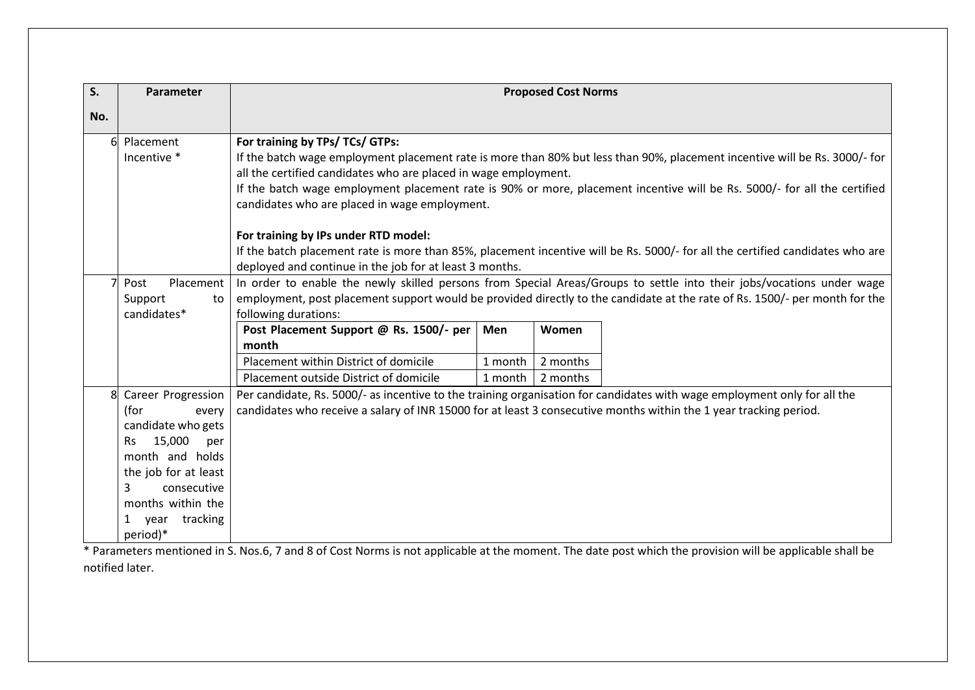| S.  | Parameter                                                                                                                                                                                                                   | <b>Proposed Cost Norms</b>                                                                                                                                                                                                                                                                                                                                                                                                                                                                                                                                                             |  |
|-----|-----------------------------------------------------------------------------------------------------------------------------------------------------------------------------------------------------------------------------|----------------------------------------------------------------------------------------------------------------------------------------------------------------------------------------------------------------------------------------------------------------------------------------------------------------------------------------------------------------------------------------------------------------------------------------------------------------------------------------------------------------------------------------------------------------------------------------|--|
| No. |                                                                                                                                                                                                                             |                                                                                                                                                                                                                                                                                                                                                                                                                                                                                                                                                                                        |  |
| 6   | Placement<br>Incentive *                                                                                                                                                                                                    | For training by TPs/ TCs/ GTPs:<br>If the batch wage employment placement rate is more than 80% but less than 90%, placement incentive will be Rs. 3000/- for<br>all the certified candidates who are placed in wage employment.<br>If the batch wage employment placement rate is 90% or more, placement incentive will be Rs. 5000/- for all the certified<br>candidates who are placed in wage employment.<br>For training by IPs under RTD model:<br>If the batch placement rate is more than 85%, placement incentive will be Rs. 5000/- for all the certified candidates who are |  |
|     | Placement<br>Post                                                                                                                                                                                                           | deployed and continue in the job for at least 3 months.<br>In order to enable the newly skilled persons from Special Areas/Groups to settle into their jobs/vocations under wage                                                                                                                                                                                                                                                                                                                                                                                                       |  |
|     | employment, post placement support would be provided directly to the candidate at the rate of Rs. 1500/- per month for the<br>Support<br>to<br>candidates*<br>following durations:                                          |                                                                                                                                                                                                                                                                                                                                                                                                                                                                                                                                                                                        |  |
|     |                                                                                                                                                                                                                             | Post Placement Support @ Rs. 1500/- per<br>Women<br>Men<br>month                                                                                                                                                                                                                                                                                                                                                                                                                                                                                                                       |  |
|     |                                                                                                                                                                                                                             | Placement within District of domicile<br>2 months<br>1 month<br>Placement outside District of domicile<br>2 months<br>1 month                                                                                                                                                                                                                                                                                                                                                                                                                                                          |  |
| 8   | Career Progression<br>(for<br>every<br>candidate who gets<br>15,000<br><b>Rs</b><br>per<br>month and holds<br>the job for at least<br>3<br>consecutive<br>months within the<br>tracking<br>year<br>$\mathbf{1}$<br>period)* | Per candidate, Rs. 5000/- as incentive to the training organisation for candidates with wage employment only for all the<br>candidates who receive a salary of INR 15000 for at least 3 consecutive months within the 1 year tracking period.                                                                                                                                                                                                                                                                                                                                          |  |

\* Parameters mentioned in S. Nos.6, 7 and 8 of Cost Norms is not applicable at the moment. The date post which the provision will be applicable shall be notified later.